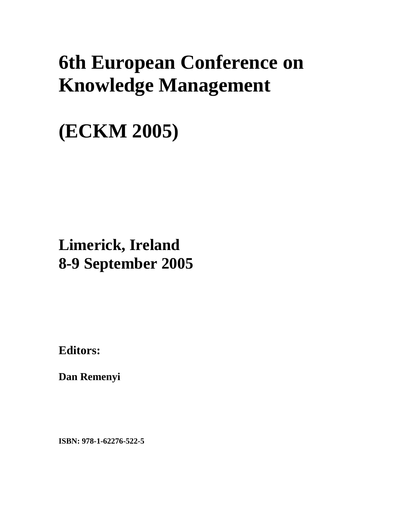# **6th European Conference on Knowledge Management**

# **(ECKM 2005)**

## **Limerick, Ireland 8-9 September 2005**

**Editors:** 

**Dan Remenyi** 

**ISBN: 978-1-62276-522-5**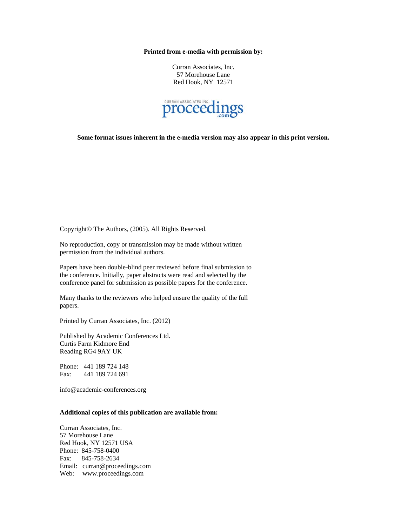#### **Printed from e-media with permission by:**

Curran Associates, Inc. 57 Morehouse Lane Red Hook, NY 12571



**Some format issues inherent in the e-media version may also appear in this print version.** 

Copyright© The Authors, (2005). All Rights Reserved.

No reproduction, copy or transmission may be made without written permission from the individual authors.

Papers have been double-blind peer reviewed before final submission to the conference. Initially, paper abstracts were read and selected by the conference panel for submission as possible papers for the conference.

Many thanks to the reviewers who helped ensure the quality of the full papers.

Printed by Curran Associates, Inc. (2012)

Published by Academic Conferences Ltd. Curtis Farm Kidmore End Reading RG4 9AY UK

Phone: 441 189 724 148 Fax: 441 189 724 691

info@academic-conferences.org

#### **Additional copies of this publication are available from:**

Curran Associates, Inc. 57 Morehouse Lane Red Hook, NY 12571 USA Phone: 845-758-0400 Fax: 845-758-2634 Email: curran@proceedings.com Web: www.proceedings.com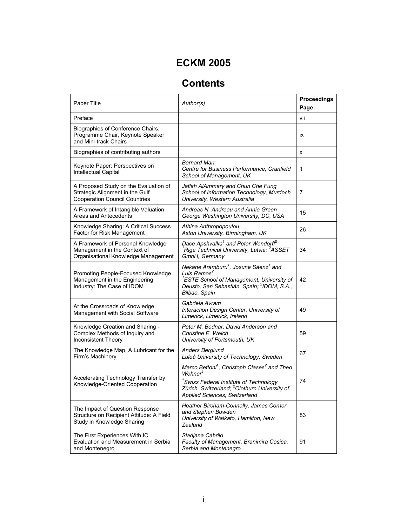### **ECKM 2005**

## **Contents**

| Paper Title                                                                                                      | Author(s)                                                                                                                                                                                                                                     | Proceedings<br>Page |
|------------------------------------------------------------------------------------------------------------------|-----------------------------------------------------------------------------------------------------------------------------------------------------------------------------------------------------------------------------------------------|---------------------|
| Preface                                                                                                          |                                                                                                                                                                                                                                               | vii                 |
| Biographies of Conference Chairs,<br>Programme Chair, Keynote Speaker<br>and Mini-track Chairs                   |                                                                                                                                                                                                                                               | <b>ix</b>           |
| Biographies of contributing authors                                                                              |                                                                                                                                                                                                                                               | x                   |
| Keynote Paper: Perspectives on<br>Intellectual Capital                                                           | <b>Bernard Marr</b><br>Centre for Business Performance, Cranfield<br>School of Management, UK                                                                                                                                                 | 1                   |
| A Proposed Study on the Evaluation of<br>Strategic Alignment in the Gulf<br><b>Cooperation Council Countries</b> | Jaflah AlAmmary and Chun Che Fung<br>School of Information Technology, Murdoch<br>University, Western Australia                                                                                                                               | 7                   |
| A Framework of Intangible Valuation<br>Areas and Antecedents                                                     | Andreas N. Andreou and Annie Green<br>George Washington University, DC, USA                                                                                                                                                                   | 15                  |
| Knowledge Sharing: A Critical Success<br>Factor for Risk Management                                              | Athina Anthropopoulou<br>Aston University, Birmingham, UK                                                                                                                                                                                     | 26                  |
| A Framework of Personal Knowledge<br>Management in the Context of<br>Organisational Knowledge Management         | Dace Apshvalka <sup>1</sup> and Peter Wendorff <sup>2</sup><br><sup>1</sup> Riga Technical University, Latvia; <sup>2</sup> ASSET<br>GmbH, Germany                                                                                            | 34                  |
| Promoting People-Focused Knowledge<br>Management in the Engineering<br>Industry: The Case of IDOM                | Nekane Aramburu <sup>1</sup> , Josune Sáenz <sup>1</sup> and<br>Luis Ramos <sup>2</sup><br><sup>1</sup> ESTE School of Management, University of<br>Deusto, San Sebastián, Spain; <sup>2</sup> IDOM, S.A.,<br>Bilbao, Spain                   | 42                  |
| At the Crossroads of Knowledge<br>Management with Social Software                                                | Gabriela Avram<br>Interaction Design Center, University of<br>Limerick, Limerick, Ireland                                                                                                                                                     | 49                  |
| Knowledge Creation and Sharing -<br>Complex Methods of Inquiry and<br><b>Inconsistent Theory</b>                 | Peter M. Bednar, David Anderson and<br>Christine E. Welch<br>University of Portsmouth, UK                                                                                                                                                     | 59                  |
| The Knowledge Map, A Lubricant for the<br>Firm's Machinery                                                       | <b>Anders Berglund</b><br>Luleå University of Technology, Sweden                                                                                                                                                                              | 67                  |
| Accelerating Technology Transfer by<br>Knowledge-Oriented Cooperation                                            | Marco Bettoni <sup>1</sup> , Christoph Clases <sup>2</sup> and Theo<br>Wehner <sup>1</sup><br><sup>1</sup> Swiss Federal Institute of Technology<br>Zürich, Switzerland; <sup>2</sup> Olothurn University of<br>Applied Sciences, Switzerland | 74                  |
| The Impact of Question Response<br>Structure on Recipient Attitude: A Field<br>Study in Knowledge Sharing        | Heather Bircham-Connolly, James Corner<br>and Stephen Bowden<br>University of Waikato, Hamilton, New<br>Zealand                                                                                                                               | 83                  |
| The First Experiences With IC<br>Evaluation and Measurement in Serbia<br>and Montenegro                          | Sladjana Cabrilo<br>Faculty of Management, Branimira Cosica,<br>Serbia and Montenegro                                                                                                                                                         | 91                  |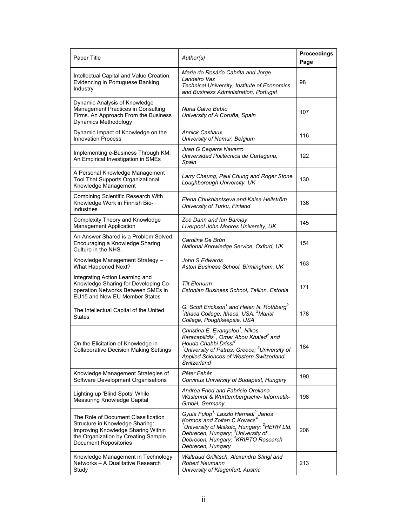| Paper Title                                                                                                                                                                         | Author(s)                                                                                                                                                                                                                                                                                                           | Proceedings<br>Page |
|-------------------------------------------------------------------------------------------------------------------------------------------------------------------------------------|---------------------------------------------------------------------------------------------------------------------------------------------------------------------------------------------------------------------------------------------------------------------------------------------------------------------|---------------------|
| Intellectual Capital and Value Creation:<br>Evidencing in Portuguese Banking<br>Industry                                                                                            | Maria do Rosário Cabrita and Jorge<br>Landeiro Vaz<br><b>Technical University, Institute of Economics</b><br>and Business Administration, Portugal                                                                                                                                                                  | 98                  |
| Dynamic Analysis of Knowledge<br>Management Practices in Consulting<br>Firms. An Approach From the Business<br><b>Dynamics Methodology</b>                                          | Nuria Calvo Babío<br>University of A Coruña, Spain                                                                                                                                                                                                                                                                  | 107                 |
| Dynamic Impact of Knowledge on the<br><b>Innovation Process</b>                                                                                                                     | <b>Annick Castiaux</b><br>University of Namur, Belgium                                                                                                                                                                                                                                                              | 116                 |
| Implementing e-Business Through KM:<br>An Empirical Investigation in SMEs                                                                                                           | Juan G Cegarra Navarro<br>Universidad Politécnica de Cartagena,<br>Spain                                                                                                                                                                                                                                            | 122                 |
| A Personal Knowledge Management<br>Tool That Supports Organizational<br>Knowledge Management                                                                                        | Larry Cheung, Paul Chung and Roger Stone<br>Loughborough University, UK                                                                                                                                                                                                                                             | 130                 |
| Combining Scientific Research With<br>Knowledge Work in Finnish Bio-<br>industries                                                                                                  | Elena Chukhlantseva and Kaisa Hellström<br>University of Turku, Finland                                                                                                                                                                                                                                             | 136                 |
| Complexity Theory and Knowledge<br><b>Management Application</b>                                                                                                                    | Zoë Dann and Ian Barclay<br>Liverpool John Moores University, UK                                                                                                                                                                                                                                                    | 145                 |
| An Answer Shared is a Problem Solved:<br>Encouraging a Knowledge Sharing<br>Culture in the NHS.                                                                                     | Caroline De Brún<br>National Knowledge Service, Oxford, UK                                                                                                                                                                                                                                                          | 154                 |
| Knowledge Management Strategy -<br><b>What Happened Next?</b>                                                                                                                       | John S Edwards<br>Aston Business School, Birmingham, UK                                                                                                                                                                                                                                                             | 163                 |
| Integrating Action Learning and<br>Knowledge Sharing for Developing Co-<br>operation Networks Between SMEs in<br>EU15 and New EU Member States                                      | <b>Tiit Elenurm</b><br>Estonian Business School, Tallinn, Estonia                                                                                                                                                                                                                                                   | 171                 |
| The Intellectual Capital of the United<br>States                                                                                                                                    | G. Scott Erickson <sup>1</sup> and Helen N. Rothberg <sup>2</sup><br><sup>1</sup> Ithaca College, Ithaca, USA, <sup>2</sup> Marist<br>College, Poughkeepsie, USA                                                                                                                                                    | 178                 |
| On the Elicitation of Knowledge in<br><b>Collaborative Decision Making Settings</b>                                                                                                 | Christina E. Evangelou <sup>1</sup> , Nikos<br>Karacapilidis <sup>1</sup> , Omar Abou Khaled <sup>2</sup> and<br>Houda Chabbi Drissi <sup>2</sup><br>$^{\prime}$ University of Patras, Greece; $^2$ University of<br>Applied Sciences of Western Switzerland<br>Switzerland                                         | 184                 |
| Knowledge Management Strategies of<br>Software Development Organisations                                                                                                            | Péter Fehér<br>Corvinus University of Budapest, Hungary                                                                                                                                                                                                                                                             | 190                 |
| Lighting up 'Blind Spots' While<br>Measuring Knowledge Capital                                                                                                                      | Andrea Fried and Fabricio Orellana<br>Wüstenrot & Württembergische- Informatik-<br>GmbH, Germany                                                                                                                                                                                                                    | 198                 |
| The Role of Document Classification<br>Structure in Knowledge Sharing:<br>Improving Knowledge Sharing Within<br>the Organization by Creating Sample<br><b>Document Repositories</b> | Gyula Fulop <sup>1,</sup> Laszlo Hernadi <sup>2</sup> Janos<br>Kormos <sup>3</sup> and Zoltan C Kovacs <sup>4</sup><br><sup>1</sup> University of Miskolc, Hungary; <sup>2</sup> HERR Ltd.<br>Debrecen, Hungary; <sup>3</sup> University of<br>Debrecen, Hungary; <sup>4</sup> KRIPTO Research<br>Debrecen, Hungary | 206                 |
| Knowledge Management in Technology<br>Networks - A Qualitative Research<br>Study                                                                                                    | Waltraud Grillitsch, Alexandra Stingl and<br>Robert Neumann<br>University of Klagenfurt, Austria                                                                                                                                                                                                                    | 213                 |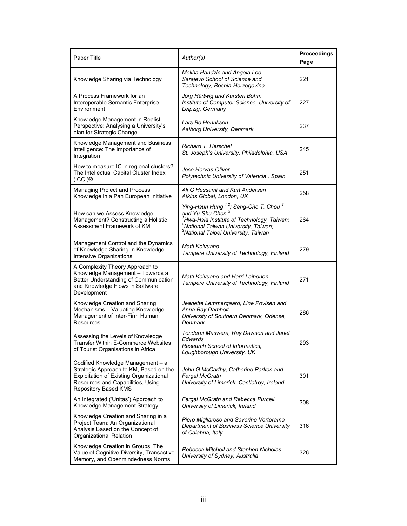| Paper Title                                                                                                                                                                                | Author(s)                                                                                                                                                                                                                   | <b>Proceedings</b><br>Page |
|--------------------------------------------------------------------------------------------------------------------------------------------------------------------------------------------|-----------------------------------------------------------------------------------------------------------------------------------------------------------------------------------------------------------------------------|----------------------------|
| Knowledge Sharing via Technology                                                                                                                                                           | Meliha Handzic and Angela Lee<br>Sarajevo School of Science and<br>Technology, Bosnia-Herzegovina                                                                                                                           | 221                        |
| A Process Framework for an<br>Interoperable Semantic Enterprise<br>Environment                                                                                                             | Jörg Härtwig and Karsten Böhm<br>Institute of Computer Science, University of<br>Leipzig, Germany                                                                                                                           | 227                        |
| Knowledge Management in Realist<br>Perspective: Analysing a University's<br>plan for Strategic Change                                                                                      | Lars Bo Henriksen<br>Aalborg University, Denmark                                                                                                                                                                            | 237                        |
| Knowledge Management and Business<br>Intelligence: The Importance of<br>Integration                                                                                                        | Richard T. Herschel<br>St. Joseph's University, Philadelphia, USA                                                                                                                                                           | 245                        |
| How to measure IC in regional clusters?<br>The Intellectual Capital Cluster Index<br>(ICCI)®                                                                                               | Jose Hervas-Oliver<br>Polytechnic University of Valencia, Spain                                                                                                                                                             | 251                        |
| Managing Project and Process<br>Knowledge in a Pan European Initiative                                                                                                                     | Ali G Hessami and Kurt Andersen<br>Atkins Global, London, UK                                                                                                                                                                | 258                        |
| How can we Assess Knowledge<br>Management? Constructing a Holistic<br>Assessment Framework of KM                                                                                           | Ying-Hsun Hung $^{1,2}$ ; Seng-Cho T. Chou $^2$<br>and Yu-Shu Chen $^3$<br>Hwa-Hsia Institute of Technology, Taiwan;<br><sup>2</sup> National Taiwan University, Taiwan;<br><sup>3</sup> National Taipei University, Taiwan | 264                        |
| Management Control and the Dynamics<br>of Knowledge Sharing In Knowledge<br>Intensive Organizations                                                                                        | Matti Koivuaho<br>Tampere University of Technology, Finland                                                                                                                                                                 | 279                        |
| A Complexity Theory Approach to<br>Knowledge Management - Towards a<br>Better Understanding of Communication<br>and Knowledge Flows in Software<br>Development                             | Matti Koivuaho and Harri Laihonen<br>Tampere University of Technology, Finland                                                                                                                                              | 271                        |
| Knowledge Creation and Sharing<br>Mechanisms - Valuating Knowledge<br>Management of Inter-Firm Human<br>Resources                                                                          | Jeanette Lemmergaard, Line Povlsen and<br>Anna Bay Damholt<br>University of Southern Denmark, Odense,<br>Denmark                                                                                                            | 286                        |
| Assessing the Levels of Knowledge<br><b>Transfer Within E-Commerce Websites</b><br>of Tourist Organisations in Africa                                                                      | Tonderai Maswera, Ray Dawson and Janet<br>Edwards<br>Research School of Informatics.<br>Loughborough University, UK                                                                                                         | 293                        |
| Codified Knowledge Management - a<br>Strategic Approach to KM, Based on the<br><b>Exploitation of Existing Organizational</b><br>Resources and Capabilities, Using<br>Repository Based KMS | John G McCarthy, Catherine Parkes and<br><b>Fergal McGrath</b><br>University of Limerick, Castletroy, Ireland                                                                                                               | 301                        |
| An Integrated ('Unitas') Approach to<br>Knowledge Management Strategy                                                                                                                      | Fergal McGrath and Rebecca Purcell,<br>University of Limerick, Ireland                                                                                                                                                      | 308                        |
| Knowledge Creation and Sharing in a<br>Project Team: An Organizational<br>Analysis Based on the Concept of<br>Organizational Relation                                                      | Piero Migliarese and Saverino Verteramo<br>Department of Business Science University<br>of Calabria, Italy                                                                                                                  | 316                        |
| Knowledge Creation in Groups: The<br>Value of Cognitive Diversity, Transactive<br>Memory, and Openmindedness Norms                                                                         | Rebecca Mitchell and Stephen Nicholas<br>University of Sydney, Australia                                                                                                                                                    | 326                        |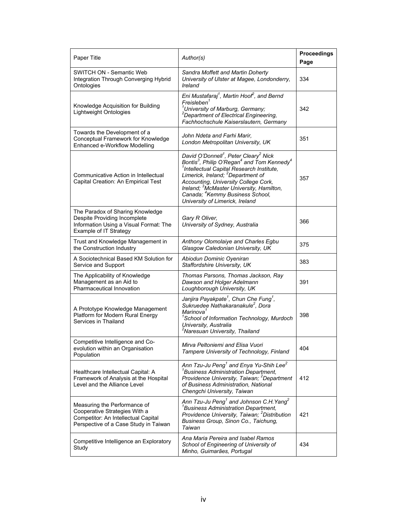| Paper Title                                                                                                                                   | Author(s)                                                                                                                                                                                                                                                                                                                                                                                                                                   | Proceedings<br>Page |
|-----------------------------------------------------------------------------------------------------------------------------------------------|---------------------------------------------------------------------------------------------------------------------------------------------------------------------------------------------------------------------------------------------------------------------------------------------------------------------------------------------------------------------------------------------------------------------------------------------|---------------------|
| SWITCH ON - Semantic Web<br>Integration Through Converging Hybrid<br>Ontologies                                                               | Sandra Moffett and Martin Doherty<br>University of Ulster at Magee, Londonderry,<br>Ireland                                                                                                                                                                                                                                                                                                                                                 | 334                 |
| Knowledge Acquisition for Building<br>Lightweight Ontologies                                                                                  | Eni Mustafaraj <sup>1</sup> , Martin Hoof <sup>2</sup> , and Bernd<br>Freisleben <sup>1</sup><br><sup>1</sup> University of Marburg, Germany;<br><sup>2</sup> Department of Electrical Engineering,<br>Fachhochschule Kaiserslautern, Germany                                                                                                                                                                                               | 342                 |
| Towards the Development of a<br>Conceptual Framework for Knowledge<br>Enhanced e-Workflow Modelling                                           | John Ndeta and Farhi Marir,<br>London Metropolitan University, UK                                                                                                                                                                                                                                                                                                                                                                           | 351                 |
| Communicative Action in Intellectual<br>Capital Creation: An Empirical Test                                                                   | David O'Donnell <sup>1</sup> , Peter Cleary <sup>2</sup> Nick<br>Bontis <sup>3</sup> , Philip O'Regan <sup>4</sup> and Tom Kennedy <sup>4</sup><br><sup>1</sup> Intellectual Capital Research Institute,<br>Limerick, Ireland; <sup>2</sup> Department of<br>Accounting, University College Cork,<br>Ireland; <sup>3</sup> McMaster University, Hamilton,<br>Canada; <sup>4</sup> Kemmy Business School,<br>University of Limerick, Ireland | 357                 |
| The Paradox of Sharing Knowledge<br>Despite Providing Incomplete<br>Information Using a Visual Format: The<br>Example of IT Strategy          | Gary R Oliver,<br>University of Sydney, Australia                                                                                                                                                                                                                                                                                                                                                                                           | 366                 |
| Trust and Knowledge Management in<br>the Construction Industry                                                                                | Anthony Olomolaiye and Charles Egbu<br>Glasgow Caledonian University, UK                                                                                                                                                                                                                                                                                                                                                                    | 375                 |
| A Sociotechnical Based KM Solution for<br>Service and Support                                                                                 | Abiodun Dominic Oyeniran<br>Staffordshire University, UK                                                                                                                                                                                                                                                                                                                                                                                    | 383                 |
| The Applicability of Knowledge<br>Management as an Aid to<br>Pharmaceutical Innovation                                                        | Thomas Parsons, Thomas Jackson, Ray<br>Dawson and Holger Adelmann<br>Loughborough University, UK                                                                                                                                                                                                                                                                                                                                            | 391                 |
| A Prototype Knowledge Management<br>Platform for Modern Rural Energy<br>Services in Thailand                                                  | Janjira Payakpate <sup>1</sup> , Chun Che Fung <sup>1</sup> ,<br>Sukruedee Nathakaranakule <sup>2</sup> , Dora<br>Marinova <sup>1</sup><br><sup>1</sup> School of Information Technology, Murdoch<br>University, Australia<br><sup>2</sup> Naresuan University, Thailand                                                                                                                                                                    | 398                 |
| Competitive Intelligence and Co-<br>evolution within an Organisation<br>Population                                                            | Mirva Peltoniemi and Elisa Vuori<br>Tampere University of Technology, Finland                                                                                                                                                                                                                                                                                                                                                               | 404                 |
| Healthcare Intellectual Capital: A<br>Framework of Analysis at the Hospital<br>Level and the Alliance Level                                   | Ann Tzu-Ju Peng <sup>1</sup> and Enya Yu-Shih Lee <sup>2</sup><br><sup>1</sup> Business Administration Department,<br>Providence University, Taiwan; <sup>2</sup> Department<br>of Business Administration, National<br>Chengchi University, Taiwan                                                                                                                                                                                         | 412                 |
| Measuring the Performance of<br>Cooperative Strategies With a<br>Competitor: An Intellectual Capital<br>Perspective of a Case Study in Taiwan | Ann Tzu-Ju Peng <sup>1</sup> and Johnson C.H. Yang <sup>2</sup><br><sup>1</sup> Business Administration Department,<br>Providence University, Taiwan; <sup>2</sup> Distribution<br>Business Group, Sinon Co., Taichung,<br>Taiwan                                                                                                                                                                                                           | 421                 |
| Competitive Intelligence an Exploratory<br>Study                                                                                              | Ana Maria Pereira and Isabel Ramos<br>School of Engineering of University of<br>Minho, Guimarães, Portugal                                                                                                                                                                                                                                                                                                                                  | 434                 |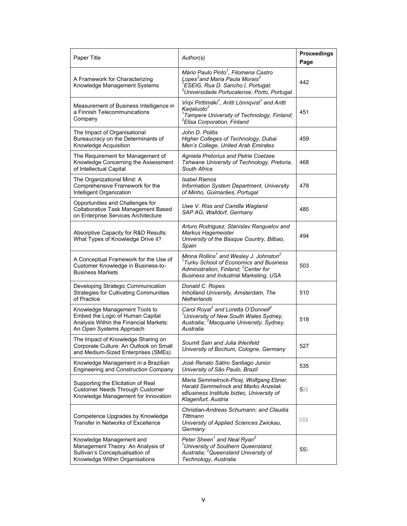| Paper Title                                                                                                                             | Author(s)                                                                                                                                                                                                                  | <b>Proceedings</b><br>Page |
|-----------------------------------------------------------------------------------------------------------------------------------------|----------------------------------------------------------------------------------------------------------------------------------------------------------------------------------------------------------------------------|----------------------------|
| A Framework for Characterizing<br>Knowledge Management Systems                                                                          | Mário Paulo Pinto <sup>1</sup> , Filomena Castro<br>Lopes <sup>2</sup> and Maria Paula Morais <sup>2</sup><br><sup>1</sup> ESEIG, Rua D. Sancho I, Portugal;<br><sup>2</sup> Universidade Portucalense, Porto, Portugal    | 442                        |
| Measurement of Business Intelligence in<br>a Finnish Telecommunications<br>Company                                                      | Virpi Pirttimäki <sup>1</sup> , Antti Lönnqvist <sup>1</sup> and Antti<br>Karjaluoto <sup>2</sup><br><sup>1</sup> Tampere University of Technology, Finland;<br><sup>2</sup> Elisa Corporation, Finland                    | 451                        |
| The Impact of Organisational<br>Bureaucracy on the Determinants of<br>Knowledge Acquisition                                             | John D. Politis<br>Higher Colleges of Technology, Dubai<br>Men's College, United Arab Emirates                                                                                                                             | 459                        |
| The Requirement for Management of<br>Knowledge Concerning the Assessment<br>of Intellectual Capital                                     | <b>Agnieta Pretorius and Petrie Coetzee</b><br>Tshwane University of Technology, Pretoria,<br>South Africa                                                                                                                 | 468                        |
| The Organizational Mind: A<br>Comprehensive Framework for the<br>Intelligent Organization                                               | Isabel Ramos<br>Information System Department, University<br>of Minho, Guimarães, Portugal                                                                                                                                 | 478                        |
| Opportunities and Challenges for<br>Collaborative Task Management Based<br>on Enterprise Services Architecture                          | Uwe V. Riss and Camilla Wagland<br>SAP AG, Walldorf, Germany                                                                                                                                                               | 485                        |
| Absorptive Capacity for R&D Results:<br>What Types of Knowledge Drive it?                                                               | Arturo Rodriguez, Stanislav Ranguelov and<br>Markus Hagemeister<br>University of the Basque Country, Bilbao,<br>Spain                                                                                                      | 494                        |
| A Conceptual Framework for the Use of<br>Customer Knowledge in Business-to-<br><b>Business Markets</b>                                  | Minna Rollins <sup>1</sup> and Wesley J. Johnston <sup>2</sup><br><sup>1</sup> Turku School of Economics and Business<br>Administration, Finland; <sup>2</sup> Center for<br><b>Business and Industrial Marketing, USA</b> | 503                        |
| Developing Strategic Communication<br><b>Strategies for Cultivating Communities</b><br>of Practice                                      | Donald C. Ropes<br>Inholland University, Amsterdam, The<br>Netherlands                                                                                                                                                     | 510                        |
| Knowledge Management Tools to<br>Embed the Logic of Human Capital<br>Analysis Within the Financial Markets:<br>An Open Systems Approach | Carol Royal <sup>1</sup> and Loretta O'Donnell <sup>2</sup><br><sup>1</sup> University of New South Wales Sydney,<br>Australia; <sup>2</sup> Macquarie University, Sydney,<br>Australia                                    | 518                        |
| The Impact of Knowledge Sharing on<br>Corporate Culture: An Outlook on Small<br>and Medium-Sized Enterprises (SMEs)                     | Soumit Sain and Julia Ihlenfeld<br>University of Bochum, Cologne, Germany                                                                                                                                                  | 527                        |
| Knowledge Management in a Brazilian<br><b>Engineering and Construction Company</b>                                                      | José Renato Sátiro Santiago Junior<br>University of São Paulo, Brazil                                                                                                                                                      | 535                        |
| Supporting the Elicitation of Real<br><b>Customer Needs Through Customer</b><br>Knowledge Management for Innovation                     | Maria Semmelrock-Picej, Wolfgang Ebner,<br>Harald Semmelrock and Marko Anzelak<br>eBusiness Institute biztec, University of<br>Klagenfurt, Austria                                                                         | 5Í F                       |
| Competence Upgrades by Knowledge<br><b>Transfer in Networks of Excellence</b>                                                           | Christian-Andreas Schumann; and Claudia<br>Tittmann<br>University of Applied Sciences Zwickau,<br>Germany                                                                                                                  | ÍΗ                         |
| Knowledge Management and<br>Management Theory: An Analysis of<br>Sullivan's Conceptualisation of<br>Knowledge Within Organisations      | Peter Sheen <sup>1</sup> and Neal Ryan <sup>2</sup><br><sup>1</sup> University of Southern Queensland,<br>Australia; <sup>2</sup> Queensland University of<br>Technology, Australia                                        | 55Ì                        |